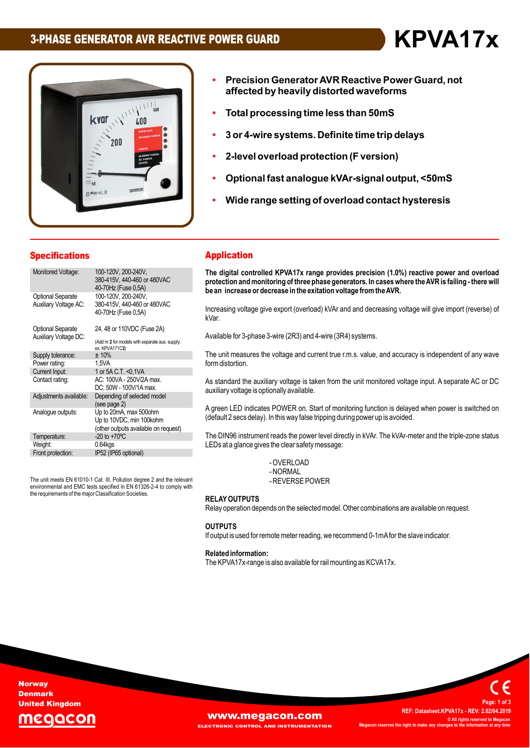# **3-PHASE GENERATOR AVR REACTIVE POWER GUARD KPVA17x**



- **Constructed Burger**<br>Cision Generator AVR Reactive Power Guard, not **h Generator AVR Reactive Power Guard,<br>by heavily distorted waveforms Total processing time less than 50mS**
- **3 or 4-wire systems. Definite time trip delays ï**
- **2-level overload protection (F version)ï**
- 2-level <mark>overloa</mark><br>Optional fast ar **ï**
- **Wide range setting of overload contact hysteresis ïanalogue kVAr-signal output, <50mS**
- Wide range setting of overload contact hysteresis

#### **Specifications**

| opecnications                                     |                                                                                                 |
|---------------------------------------------------|-------------------------------------------------------------------------------------------------|
| Monitored Voltage:                                | 100-120V, 200-240V,<br>380-415V, 440-460 or 480VAC<br>40-70Hz (Fuse 0,5A)                       |
| <b>Optional Separate</b><br>Auxiliary Voltage AC: | 100-120V, 200-240V,<br>380-415V, 440-460 or 480VAC<br>40-70Hz (Fuse 0,5A)                       |
| <b>Optional Separate</b><br>Auxiliary Voltage DC: | 24, 48 or 110VDC (Fuse 2A)<br>(Add nr 2 for models with separate aux. supply.<br>ex: KPVA171C2) |
| Supply tolerance:                                 | ± 10%                                                                                           |
| Power rating:                                     | 1,5VA                                                                                           |
| Current Input:                                    | 1 or 5A C.T. < 0,1 VA                                                                           |
| Contact rating:                                   | AC: 100VA - 250V/2A max.<br>DC: 50W - 100V/1A max.                                              |
| Adjustments available:                            | Depending of selected model<br>(see page 2)                                                     |
| Analogue outputs:                                 | Up to 20mA, max 500ohm<br>Up to 10VDC, min 100kohm<br>(other outputs available on request)      |
| Temperature:                                      | $-20$ to $+70^{\circ}$ C                                                                        |
| Weight:                                           | $0.64$ kgs                                                                                      |
| Front protection:                                 | IP52 (IP65 optional)                                                                            |
|                                                   |                                                                                                 |

The unit meets EN 61010-1 Cat. III, Pollution degree 2 and the relevant The unit meets EN 61010-1 Cat. III, Pollution degree 2 and the relevant<br>environmental and EMC tests specified in EN 61326-2-4 to comply with<br>the requirements of the major Classification Societies.

#### **Applica**tion **The**

**ï**

**Precision**

**Application**<br>The digital controlled KPVA17x range provides precision (1.0%) reactive power and overload<br>protection and monitoring of three phase generators. In cases where the AVR is failing - there will **hander in and monitoring of three phase generators. In cases where the AVR is failing - there will** be an increase or decrease in the exitation voltage from the AVR.

be an increase or decrease in the exhation voltage from the AVR.<br>Increasing voltage give export (overload) kVAr and and decreasing voltage will give import (reverse) of kVar

Available for 3-phase 3-wire (2R3) and 4-wire (3R4) systems.

Avaliable lor 3-priase 3-wire (zR3) and 4-wire (3R4) systems.<br>The unit measures the voltage and current true r.m.s. value, and accuracv is independent of any wave form distortion.

standard the auxiliary voltage is taken from the unit monitored voltage input. <sup>A</sup> separate AC or DC auxiliary voltage is optionally available. <sup>A</sup>

auxiliary voltage is optionally available.<br>A green LED indicates POWER on. Start of monitoring function is delayed when power is switched on<br>(default 2 secs delay). In this way false tripping during power up is avoided.

(deladit 2 secs delay). In this way laise tripping during power up is avoided.<br>The DIN96 instrument reads the power level directly in kVAr. The kVAr-meter and the triple-zone status<br>LEDs at a glance gives the clear safety LEDs at a glance gives the clear safety message:

> $\sim$ -UVERLUAD<br>NODIAN - REVERSE POWER

#### **RELAY OUTPUTS**

**RELAY OUTPUTS**<br>Relay operation depends on the selected model. Other combinations are available on request.

#### **OUTPUTS**

**OUTPUTS**<br>If output is used for remote meter reading, we recommend 0-1mA for the slave indicator.

## n output is used for remote in<br>**Related information:**

**WWW.megacon.com** 

**AND INSTRUMENTATION** 

The KPVA17x-range is also available for rail mounting as KCVA17x.

**Norway** Denmark United Kingdom



 **Datasheet.KPVA17x - REV: 2.02/04.2019 ©ALL IS ALL IS EXAMPLE: Datasheet.KPVA17x - REV: 2.02/04.2019<br>© All rights reserved to Megacon reserves the right to make any changes to the information at any time <sup>1</sup> of <sup>3</sup>**

**Page:**

**REF:**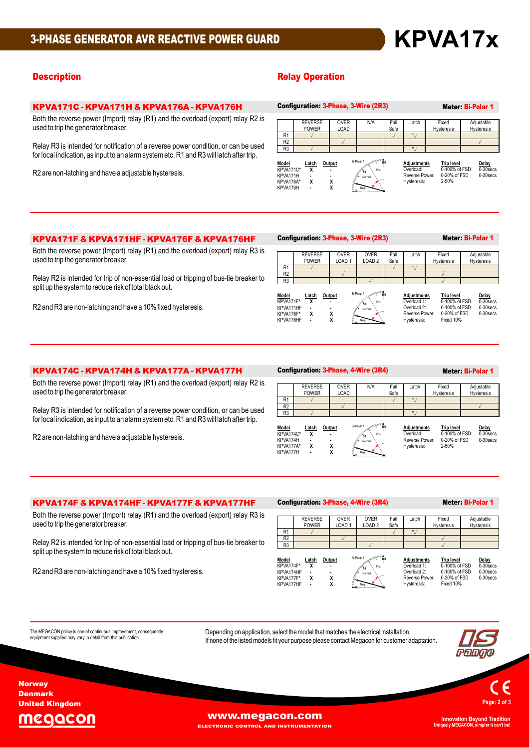#### **Description Contract Contract Contract Contract Contract Contract Contract Contract Contract Contract Contract Contract Contract Contract Contract Contract Contract Contract Contract Contract Contract Contract Contract Co**

### **KPVA171C - KPVA171H & KPVA176A - KPVA176H** Both

KPVA171C - KPVA171H & KPVA176A - KPVA176H<br>Both the reverse power (Import) relay (R1) and the overload (export) relay R2 is

used to trip the generator breaker.<br>Relay R3 is intended for notification of a reverse power condition, or can be used for local indication, as input to an alarm system etc. R1 and R3 will latch after trip.

R2 are non-latching and have a adjustable hysteresis.

|                                                         |                                | Configuration 3-Phase, 3-Wire (ZR3) |                                                                                                                                                                                                                                      | Meter: Bi-Polar 1 |                                                                  |  |                                                             |  |                                   |
|---------------------------------------------------------|--------------------------------|-------------------------------------|--------------------------------------------------------------------------------------------------------------------------------------------------------------------------------------------------------------------------------------|-------------------|------------------------------------------------------------------|--|-------------------------------------------------------------|--|-----------------------------------|
|                                                         | <b>REVERSE</b><br><b>POWER</b> | <b>OVER</b><br>LOAD                 | N/A                                                                                                                                                                                                                                  | Fail<br>Safe      | Latch                                                            |  | Fixed<br>Hysteresis                                         |  | Adjustable<br>Hysteresis          |
| R <sub>1</sub>                                          |                                |                                     |                                                                                                                                                                                                                                      |                   | $\star$                                                          |  |                                                             |  |                                   |
| R <sub>2</sub>                                          |                                |                                     |                                                                                                                                                                                                                                      |                   |                                                                  |  |                                                             |  |                                   |
| R <sub>3</sub>                                          |                                |                                     |                                                                                                                                                                                                                                      |                   | $\star$                                                          |  |                                                             |  |                                   |
| Model<br>KPVA171C*<br>KPVA171H<br>KPVA176A*<br>KPVA176H | <u>Latch</u><br>x<br>۰<br>x    | Output<br>X<br>χ                    | <b>Communication of the Communication of the Communication of the Communication of the Communist Communist Communist Communist Communist Communist Communist Communist Communist Communist Communist Communist Communist Communi</b> |                   | <b>Adjustments</b><br>Overload:<br>Reverse Power:<br>Hysteresis: |  | <b>Trip level</b><br>0-100% of FSD<br>0-20% of FSD<br>2-50% |  | Delay<br>0-30 secs<br>$0-30$ secs |

## **KPVA171F & KPVA171HF - KPVA176F & KPVA176HF** Config<br>Both the reverse power (Import) relay (R1) and the overload (export) relay R3 is

bused to trip the generator (Import) relay<br>used to trip the generator breaker.

used to trip the generator breaker.<br>Relay R2 is intended for trip of non-essential load or tripping of bus-tie breaker to<br>split up the system to reduce risk of total black out. split up the system to reduce risk of total black out.<br>R2 and R3 are non-latching and have a 10% fixed hysteresis.

#### Configuration: 3-Phase, 3-Wire (2R3) Meter: Bi-Polar 1

|                | <b>REVERSE</b><br><b>POWER</b> | <b>OVER</b><br>LOAD <sub>1</sub> | <b>OVER</b><br>LOAD <sub>2</sub> | Fail<br>Safe | Latch | Fixed<br>Hysteresis | Adjustable<br>Hysteresis |
|----------------|--------------------------------|----------------------------------|----------------------------------|--------------|-------|---------------------|--------------------------|
| R1             |                                |                                  |                                  |              |       |                     |                          |
| R <sub>2</sub> |                                |                                  |                                  |              |       |                     |                          |
| R <sub>3</sub> |                                |                                  |                                  |              |       |                     |                          |

 $\frac{1}{50}$  \  $\frac{1}{105}$  |

 **Latch Output \* <sup>X</sup> - - - \* <sup>X</sup> <sup>X</sup> - <sup>X</sup>** Model KPVA171F\* KPVA171HF KPVA176F\*<br>KPVA176HF

**Adjustments Trip <u>level</u>**<br> **Delay** Overload 1: 000% of FSD 0-30secs<br>
Overload 2: 0-400% of FSD 0-30secs<br>
Reverse Power: 0-20% of FSD 0-30secs  $\overline{a}$ <u>Trip level</u><br>0-100% of F9 บ- เบบ% or Fa<br>0-100% of Fa Hysteresis:

0-100% of FSD 0-30 secs<br>0-20% of FSD 0-30 secs<br>Fixed 10%

## **KPVA174C - <b>KPVA174H & KPVA177A - KPVA177H** Conf<br>Both the reverse power (Import) relay (R1) and the overload (export) relay R2 is

be the generator of the generator of the generator breaker.<br>Used to trip the generator breaker.

used to trip the generator breaker.<br>Relay R3 is intended for notification of a reverse power condition, or can be used<br>for local indication, as input to an alarm system etc. R1 and R3 will latch after trip. for local indication, as input to an alarm system etc. R1 and R3 will latch after trip.<br>R2 are non-latching and have a adjustable hysteresis.

#### Configuration: 3-Phase, 4-Wire (3R4) Meter: Bi-Polar 1

|                    | <b>REVERSE</b> | <b>OVER</b> | N/A                                             | Fail | Latch                           | Fixed                              | Adjustable           |
|--------------------|----------------|-------------|-------------------------------------------------|------|---------------------------------|------------------------------------|----------------------|
|                    | <b>POWER</b>   | LOAD        |                                                 | Safe |                                 | Hysteresis                         | Hysteresis           |
| R1                 |                |             |                                                 |      | ÷                               |                                    |                      |
| R <sub>2</sub>     |                |             |                                                 |      |                                 |                                    |                      |
| R <sub>3</sub>     |                |             |                                                 |      |                                 |                                    |                      |
| Model<br>KPVA174C* | Latch          | Output      | continuo dimensione communication<br>Bi-Polar 1 |      | <b>Adjustments</b><br>Overload: | <b>Trip level</b><br>0-100% of FSD | Delay<br>$0-30$ secs |

| moaer     | Laton | vutbut |                                    | Adiustments    | TIID IEVEI    | Delay       |  |
|-----------|-------|--------|------------------------------------|----------------|---------------|-------------|--|
| KPVA174C* |       |        | <b>Antipartments</b><br>Pos.<br>50 | :Dverload      | 0-100% of FSD | $0-30$ secs |  |
| KPVA174H  |       |        | Normal                             | Reverse Power: | 0-20% of FSD  | $0-30$ secs |  |
| KPVA177A* |       |        |                                    | Hysteresis:    | $2-50\%$      |             |  |
| KPVA177H  |       |        | Neg.                               |                |               |             |  |

## K**PVA174F &** K**PVA174HF -** K**PVA177F &** K**PVA177HF** Both the reverse power (Import) relay (R1) and the overload (export) relay R3 is

expected to the generator (Import) relay<br>Both the reverse power (Import) relay<br>used to trip the generator breaker.

used to trip the generator breaker.<br>Relay R2 is intended for trip of non-essential load or tripping of bus-tie breaker to<br>split up the system to reduce risk of total black out. split up the system to reduce risk of total black out.<br>R2 and R3 are non-latching and have a 10% fixed hysteresis.

#### Configuration: 3-Phase, **4-**Wire (**3**R**4**) Meter: Bi-Polar 1

|                | <b>REVERSE</b> | <b>OVER</b>       | <b>OVER</b>       | Fail | Latch | Fixed      |                          |
|----------------|----------------|-------------------|-------------------|------|-------|------------|--------------------------|
|                | <b>POWER</b>   | LOAD <sub>1</sub> | LOAD <sub>2</sub> | Safe |       | Hysteresis | Adjustable<br>Hysteresis |
| R1             |                |                   |                   |      |       |            |                          |
| R <sub>2</sub> |                |                   |                   |      |       |            |                          |
| R <sub>3</sub> |                |                   |                   |      |       |            |                          |
|                |                |                   |                   |      |       |            |                          |



The MEGACON policy is one of continuous improvement, consequently<br>equipment supplied may vary in detail from this publication.

Depending on application, select the model that matches the electrical installation.<br>If none of the listed models fit your purpose please contact Megacon for customer adaptation.





United Kingdom aacor

**Norway** Denmark

The

**[www.megacon.com](http://www.megacon.com)** 

Depending

**ECTRONIC CONTROL AND INSTRUMENTATION** 

**Uniquely MEGACON, simpler it can't be!**